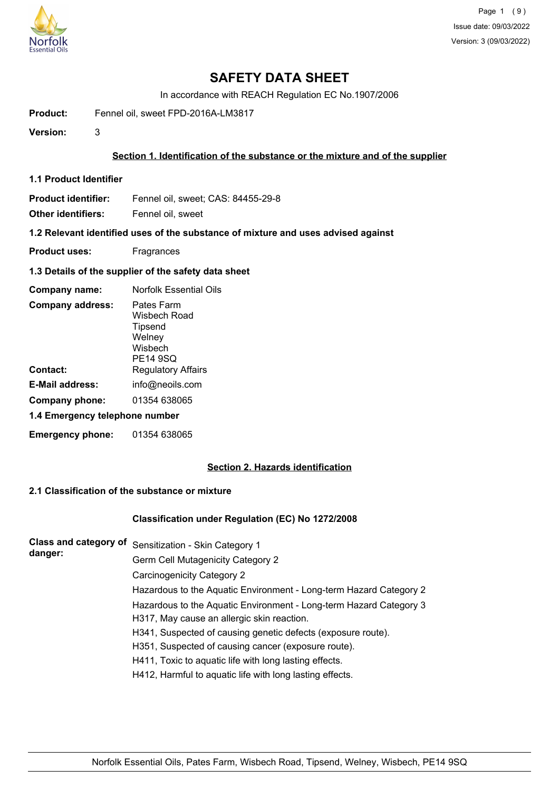

# **SAFETY DATA SHEET**

In accordance with REACH Regulation EC No.1907/2006

Product: Fennel oil, sweet FPD-2016A-LM3817

**Version:** 3

## **Section 1. Identification of the substance or the mixture and of the supplier**

**1.1 Product Identifier**

**Product identifier:** Fennel oil, sweet; CAS: 84455-29-8

**Other identifiers:** Fennel oil, sweet

**1.2 Relevant identified uses of the substance of mixture and uses advised against**

- **Product uses:** Fragrances
- **1.3 Details of the supplier of the safety data sheet**

| Company name:                  | <b>Norfolk Essential Oils</b>                                          |  |
|--------------------------------|------------------------------------------------------------------------|--|
| <b>Company address:</b>        | Pates Farm<br>Wisbech Road<br>Tipsend<br>Welney<br>Wisbech<br>PE14 9SQ |  |
| Contact:                       | <b>Regulatory Affairs</b>                                              |  |
| E-Mail address:                | info@neoils.com                                                        |  |
| Company phone:                 | 01354 638065                                                           |  |
| 1.4 Emergency telephone number |                                                                        |  |
| <b>Emergency phone:</b>        | 01354 638065                                                           |  |

## **Section 2. Hazards identification**

### **2.1 Classification of the substance or mixture**

### **Classification under Regulation (EC) No 1272/2008**

**Class and category of** Sensitization - Skin Category 1 **danger:** Germ Cell Mutagenicity Category 2 Carcinogenicity Category 2 Hazardous to the Aquatic Environment - Long-term Hazard Category 2 Hazardous to the Aquatic Environment - Long-term Hazard Category 3 H317, May cause an allergic skin reaction. H341, Suspected of causing genetic defects (exposure route). H351, Suspected of causing cancer (exposure route). H411, Toxic to aquatic life with long lasting effects. H412, Harmful to aquatic life with long lasting effects.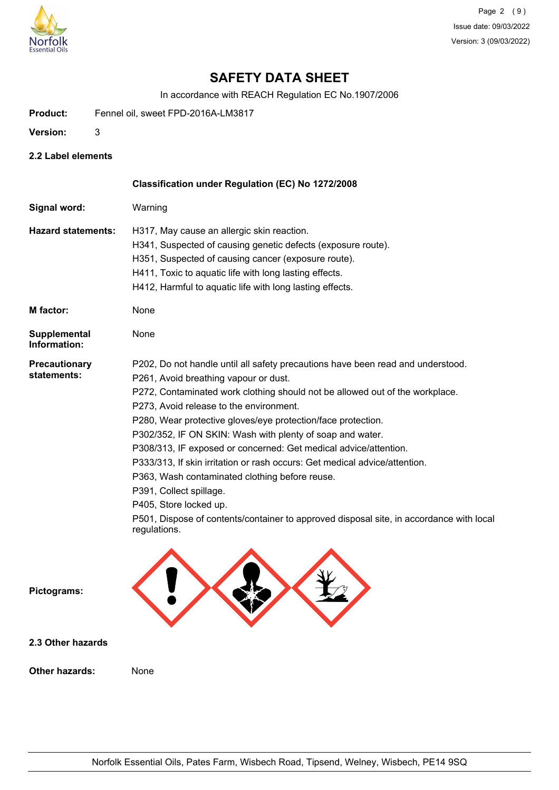

# **SAFETY DATA SHEET**

In accordance with REACH Regulation EC No.1907/2006

- Product: Fennel oil, sweet FPD-2016A-LM3817
- **Version:** 3
- **2.2 Label elements**

|                                     | Classification under Regulation (EC) No 1272/2008                                                       |
|-------------------------------------|---------------------------------------------------------------------------------------------------------|
| Signal word:                        | Warning                                                                                                 |
| <b>Hazard statements:</b>           | H317, May cause an allergic skin reaction.                                                              |
|                                     | H341, Suspected of causing genetic defects (exposure route).                                            |
|                                     | H351, Suspected of causing cancer (exposure route).                                                     |
|                                     | H411, Toxic to aquatic life with long lasting effects.                                                  |
|                                     | H412, Harmful to aquatic life with long lasting effects.                                                |
| M factor:                           | None                                                                                                    |
| <b>Supplemental</b><br>Information: | None                                                                                                    |
| <b>Precautionary</b>                | P202, Do not handle until all safety precautions have been read and understood.                         |
| statements:                         | P261, Avoid breathing vapour or dust.                                                                   |
|                                     | P272, Contaminated work clothing should not be allowed out of the workplace.                            |
|                                     | P273, Avoid release to the environment.                                                                 |
|                                     | P280, Wear protective gloves/eye protection/face protection.                                            |
|                                     | P302/352, IF ON SKIN: Wash with plenty of soap and water.                                               |
|                                     | P308/313, IF exposed or concerned: Get medical advice/attention.                                        |
|                                     | P333/313, If skin irritation or rash occurs: Get medical advice/attention.                              |
|                                     | P363, Wash contaminated clothing before reuse.                                                          |
|                                     | P391, Collect spillage.                                                                                 |
|                                     | P405, Store locked up.                                                                                  |
|                                     | P501, Dispose of contents/container to approved disposal site, in accordance with local<br>regulations. |
| Pictograms:                         |                                                                                                         |
| 2.3 Other hazards                   |                                                                                                         |
| <b>Other hazards:</b>               | None                                                                                                    |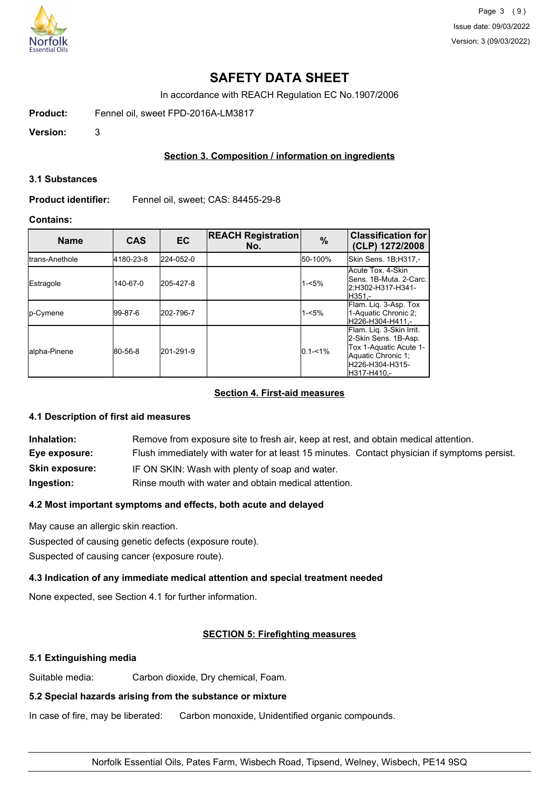

# **SAFETY DATA SHEET**

In accordance with REACH Regulation EC No.1907/2006

Product: Fennel oil, sweet FPD-2016A-LM3817

**Version:** 3

## **Section 3. Composition / information on ingredients**

#### **3.1 Substances**

**Product identifier:** Fennel oil, sweet; CAS: 84455-29-8

## **Contains:**

| <b>Name</b>      | <b>CAS</b> | <b>EC</b> | <b>REACH Registration</b><br>No. | $\%$        | <b>Classification for</b><br>(CLP) 1272/2008                                                                                        |
|------------------|------------|-----------|----------------------------------|-------------|-------------------------------------------------------------------------------------------------------------------------------------|
| Itrans-Anethole  | 4180-23-8  | 224-052-0 |                                  | 50-100%     | Skin Sens. 1B;H317,-                                                                                                                |
| Estragole        | 140-67-0   | 205-427-8 |                                  | $1 - 5%$    | Acute Tox, 4-Skin<br>lSens. 1B-Muta. 2-Carc.<br>2:H302-H317-H341-<br>H351.-                                                         |
| <b>Ip-Cymene</b> | l99-87-6   | 202-796-7 |                                  | $1 - 5%$    | Flam. Lig. 3-Asp. Tox<br>1-Aquatic Chronic 2:<br>H226-H304-H411.-                                                                   |
| Jalpha-Pinene    | 80-56-8    | 201-291-9 |                                  | $0.1 - 1\%$ | Flam. Liq. 3-Skin Irrit.<br>2-Skin Sens. 1B-Asp.<br>Tox 1-Aquatic Acute 1-<br>Aquatic Chronic 1;<br>H226-H304-H315-<br>IH317-H410.- |

## **Section 4. First-aid measures**

## **4.1 Description of first aid measures**

| Inhalation:           | Remove from exposure site to fresh air, keep at rest, and obtain medical attention.          |
|-----------------------|----------------------------------------------------------------------------------------------|
| Eye exposure:         | Flush immediately with water for at least 15 minutes. Contact physician if symptoms persist. |
| <b>Skin exposure:</b> | IF ON SKIN: Wash with plenty of soap and water.                                              |
| Ingestion:            | Rinse mouth with water and obtain medical attention.                                         |

## **4.2 Most important symptoms and effects, both acute and delayed**

May cause an allergic skin reaction.

Suspected of causing genetic defects (exposure route).

Suspected of causing cancer (exposure route).

## **4.3 Indication of any immediate medical attention and special treatment needed**

None expected, see Section 4.1 for further information.

## **SECTION 5: Firefighting measures**

## **5.1 Extinguishing media**

Suitable media: Carbon dioxide, Dry chemical, Foam.

## **5.2 Special hazards arising from the substance or mixture**

In case of fire, may be liberated: Carbon monoxide, Unidentified organic compounds.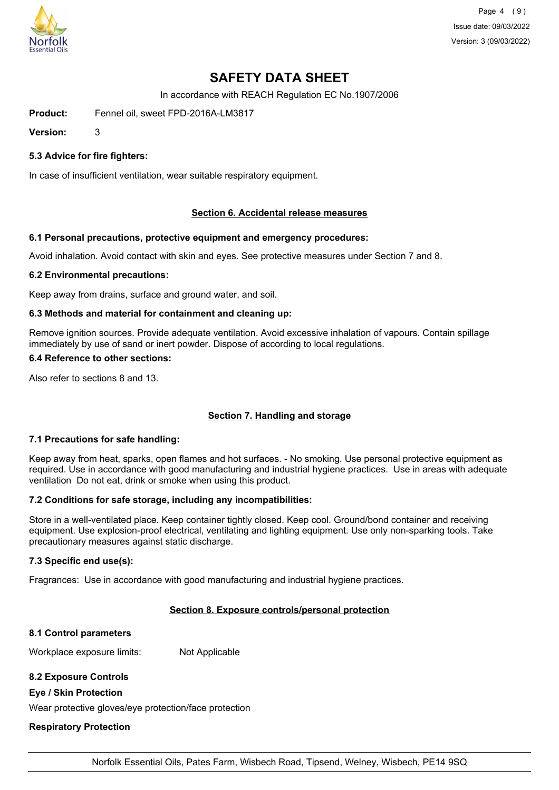

Page 4 (9) Issue date: 09/03/2022 Version: 3 (09/03/2022)

# **SAFETY DATA SHEET**

In accordance with REACH Regulation EC No.1907/2006

Product: Fennel oil, sweet FPD-2016A-LM3817

**Version:** 3

### **5.3 Advice for fire fighters:**

In case of insufficient ventilation, wear suitable respiratory equipment.

#### **Section 6. Accidental release measures**

#### **6.1 Personal precautions, protective equipment and emergency procedures:**

Avoid inhalation. Avoid contact with skin and eyes. See protective measures under Section 7 and 8.

#### **6.2 Environmental precautions:**

Keep away from drains, surface and ground water, and soil.

#### **6.3 Methods and material for containment and cleaning up:**

Remove ignition sources. Provide adequate ventilation. Avoid excessive inhalation of vapours. Contain spillage immediately by use of sand or inert powder. Dispose of according to local regulations.

#### **6.4 Reference to other sections:**

Also refer to sections 8 and 13.

## **Section 7. Handling and storage**

#### **7.1 Precautions for safe handling:**

Keep away from heat, sparks, open flames and hot surfaces. - No smoking. Use personal protective equipment as required. Use in accordance with good manufacturing and industrial hygiene practices. Use in areas with adequate ventilation Do not eat, drink or smoke when using this product.

#### **7.2 Conditions for safe storage, including any incompatibilities:**

Store in a well-ventilated place. Keep container tightly closed. Keep cool. Ground/bond container and receiving equipment. Use explosion-proof electrical, ventilating and lighting equipment. Use only non-sparking tools. Take precautionary measures against static discharge.

#### **7.3 Specific end use(s):**

Fragrances: Use in accordance with good manufacturing and industrial hygiene practices.

#### **Section 8. Exposure controls/personal protection**

#### **8.1 Control parameters**

Workplace exposure limits: Not Applicable

## **8.2 Exposure Controls**

#### **Eye / Skin Protection**

Wear protective gloves/eye protection/face protection

## **Respiratory Protection**

Norfolk Essential Oils, Pates Farm, Wisbech Road, Tipsend, Welney, Wisbech, PE14 9SQ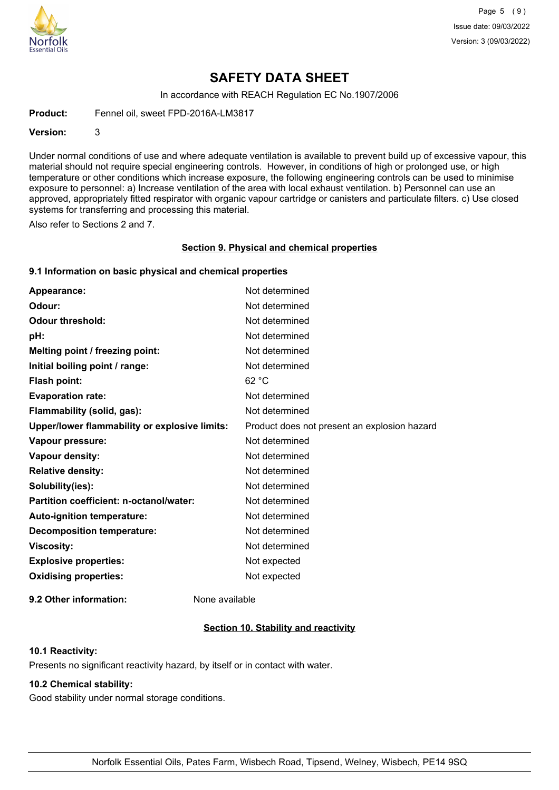

Page 5 (9) Issue date: 09/03/2022 Version: 3 (09/03/2022)

## **SAFETY DATA SHEET**

In accordance with REACH Regulation EC No.1907/2006

Product: Fennel oil, sweet FPD-2016A-LM3817

**Version:** 3

Under normal conditions of use and where adequate ventilation is available to prevent build up of excessive vapour, this material should not require special engineering controls. However, in conditions of high or prolonged use, or high temperature or other conditions which increase exposure, the following engineering controls can be used to minimise exposure to personnel: a) Increase ventilation of the area with local exhaust ventilation. b) Personnel can use an approved, appropriately fitted respirator with organic vapour cartridge or canisters and particulate filters. c) Use closed systems for transferring and processing this material.

Also refer to Sections 2 and 7.

#### **Section 9. Physical and chemical properties**

## **9.1 Information on basic physical and chemical properties**

| Appearance:                                          | Not determined                               |
|------------------------------------------------------|----------------------------------------------|
| Odour:                                               | Not determined                               |
| <b>Odour threshold:</b>                              | Not determined                               |
| pH:                                                  | Not determined                               |
| Melting point / freezing point:                      | Not determined                               |
| Initial boiling point / range:                       | Not determined                               |
| <b>Flash point:</b>                                  | 62 °C                                        |
| <b>Evaporation rate:</b>                             | Not determined                               |
| Flammability (solid, gas):                           | Not determined                               |
| <b>Upper/lower flammability or explosive limits:</b> | Product does not present an explosion hazard |
| Vapour pressure:                                     | Not determined                               |
| Vapour density:                                      | Not determined                               |
| <b>Relative density:</b>                             | Not determined                               |
| Solubility(ies):                                     | Not determined                               |
| Partition coefficient: n-octanol/water:              | Not determined                               |
| Auto-ignition temperature:                           | Not determined                               |
| <b>Decomposition temperature:</b>                    | Not determined                               |
| <b>Viscosity:</b>                                    | Not determined                               |
| <b>Explosive properties:</b>                         | Not expected                                 |
| <b>Oxidising properties:</b>                         | Not expected                                 |
|                                                      |                                              |

**9.2 Other information:** None available

## **Section 10. Stability and reactivity**

### **10.1 Reactivity:**

Presents no significant reactivity hazard, by itself or in contact with water.

## **10.2 Chemical stability:**

Good stability under normal storage conditions.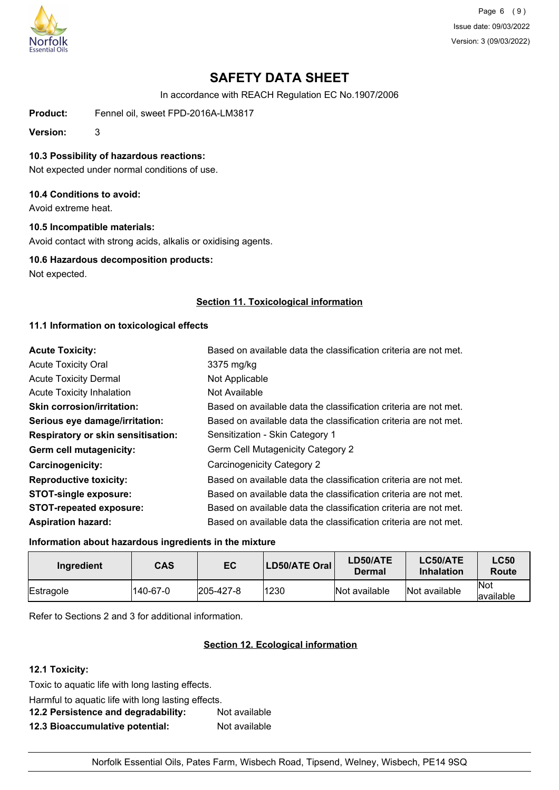

Page 6 (9) Issue date: 09/03/2022 Version: 3 (09/03/2022)

# **SAFETY DATA SHEET**

In accordance with REACH Regulation EC No.1907/2006

Product: Fennel oil, sweet FPD-2016A-LM3817

**Version:** 3

### **10.3 Possibility of hazardous reactions:**

Not expected under normal conditions of use.

#### **10.4 Conditions to avoid:**

Avoid extreme heat.

## **10.5 Incompatible materials:**

Avoid contact with strong acids, alkalis or oxidising agents.

#### **10.6 Hazardous decomposition products:**

Not expected.

## **Section 11. Toxicological information**

## **11.1 Information on toxicological effects**

| <b>Acute Toxicity:</b>             | Based on available data the classification criteria are not met. |
|------------------------------------|------------------------------------------------------------------|
| <b>Acute Toxicity Oral</b>         | 3375 mg/kg                                                       |
| <b>Acute Toxicity Dermal</b>       | Not Applicable                                                   |
| <b>Acute Toxicity Inhalation</b>   | Not Available                                                    |
| <b>Skin corrosion/irritation:</b>  | Based on available data the classification criteria are not met. |
| Serious eye damage/irritation:     | Based on available data the classification criteria are not met. |
| Respiratory or skin sensitisation: | Sensitization - Skin Category 1                                  |
| Germ cell mutagenicity:            | Germ Cell Mutagenicity Category 2                                |
| <b>Carcinogenicity:</b>            | <b>Carcinogenicity Category 2</b>                                |
| <b>Reproductive toxicity:</b>      | Based on available data the classification criteria are not met. |
| <b>STOT-single exposure:</b>       | Based on available data the classification criteria are not met. |
| <b>STOT-repeated exposure:</b>     | Based on available data the classification criteria are not met. |
| <b>Aspiration hazard:</b>          | Based on available data the classification criteria are not met. |

#### **Information about hazardous ingredients in the mixture**

| Ingredient | <b>CAS</b> | EC                | LD50/ATE Oral | LD50/ATE<br>Dermal | LC50/ATE<br><b>Inhalation</b> | <b>LC50</b><br>Route |
|------------|------------|-------------------|---------------|--------------------|-------------------------------|----------------------|
| Estragole  | 140-67-0   | $ 205 - 427 - 8 $ | 1230          | Not available      | Not available                 | Not<br>lavailable    |

Refer to Sections 2 and 3 for additional information.

## **Section 12. Ecological information**

### **12.1 Toxicity:**

Toxic to aquatic life with long lasting effects.

Harmful to aquatic life with long lasting effects.

| 12.2 Persistence and degradability: | Not available |
|-------------------------------------|---------------|
| 12.3 Bioaccumulative potential:     | Not available |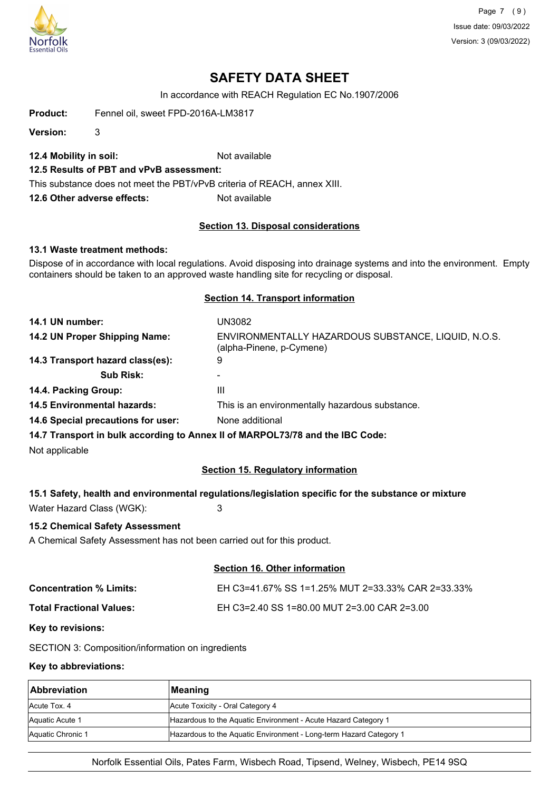

Page 7 (9) Issue date: 09/03/2022 Version: 3 (09/03/2022)

## **SAFETY DATA SHEET**

In accordance with REACH Regulation EC No.1907/2006

Product: Fennel oil, sweet FPD-2016A-LM3817

**Version:** 3

**12.4 Mobility in soil:** Not available

### **12.5 Results of PBT and vPvB assessment:**

This substance does not meet the PBT/vPvB criteria of REACH, annex XIII.

**12.6 Other adverse effects:** Not available

#### **Section 13. Disposal considerations**

#### **13.1 Waste treatment methods:**

Dispose of in accordance with local regulations. Avoid disposing into drainage systems and into the environment. Empty containers should be taken to an approved waste handling site for recycling or disposal.

#### **Section 14. Transport information**

| 14.1 UN number:                    | UN3082                                                                          |
|------------------------------------|---------------------------------------------------------------------------------|
| 14.2 UN Proper Shipping Name:      | ENVIRONMENTALLY HAZARDOUS SUBSTANCE, LIQUID, N.O.S.<br>(alpha-Pinene, p-Cymene) |
| 14.3 Transport hazard class(es):   | 9                                                                               |
| <b>Sub Risk:</b>                   |                                                                                 |
| 14.4. Packing Group:               | Ш                                                                               |
| <b>14.5 Environmental hazards:</b> | This is an environmentally hazardous substance.                                 |
| 14.6 Special precautions for user: | None additional                                                                 |
|                                    |                                                                                 |

**14.7 Transport in bulk according to Annex II of MARPOL73/78 and the IBC Code:**

Not applicable

#### **Section 15. Regulatory information**

#### **15.1 Safety, health and environmental regulations/legislation specific for the substance or mixture**

Water Hazard Class (WGK): 3

#### **15.2 Chemical Safety Assessment**

A Chemical Safety Assessment has not been carried out for this product.

#### **Section 16. Other information**

| <b>Concentration % Limits:</b>  | EH C3=41.67% SS 1=1.25% MUT 2=33.33% CAR 2=33.33% |
|---------------------------------|---------------------------------------------------|
| <b>Total Fractional Values:</b> | EH C3=2.40 SS 1=80.00 MUT 2=3.00 CAR 2=3.00       |

#### **Key to revisions:**

SECTION 3: Composition/information on ingredients

#### **Key to abbreviations:**

| <b>Abbreviation</b> | <b>Meaning</b>                                                     |
|---------------------|--------------------------------------------------------------------|
| Acute Tox, 4        | Acute Toxicity - Oral Category 4                                   |
| Aquatic Acute 1     | Hazardous to the Aquatic Environment - Acute Hazard Category 1     |
| Aquatic Chronic 1   | Hazardous to the Aquatic Environment - Long-term Hazard Category 1 |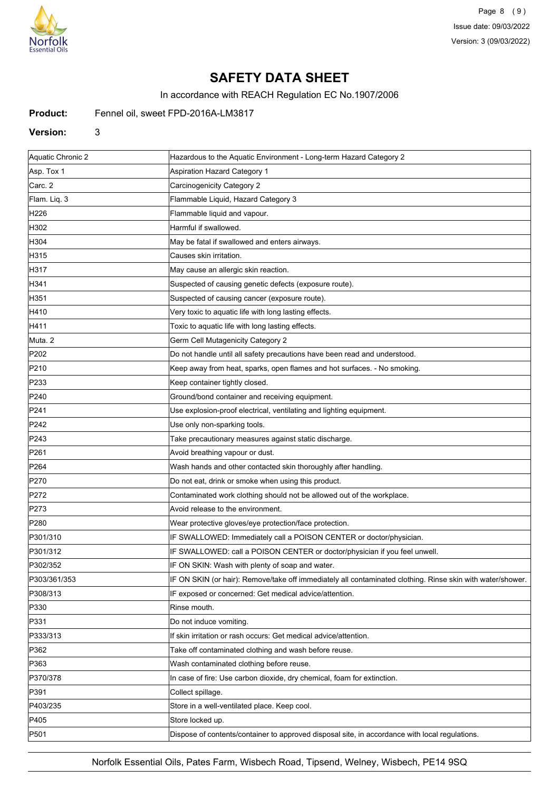

Page 8 (9) Issue date: 09/03/2022 Version: 3 (09/03/2022)

# **SAFETY DATA SHEET**

In accordance with REACH Regulation EC No.1907/2006

## Product: Fennel oil, sweet FPD-2016A-LM3817

#### **Version:** 3

| Aquatic Chronic 2 | Hazardous to the Aquatic Environment - Long-term Hazard Category 2                                         |
|-------------------|------------------------------------------------------------------------------------------------------------|
| Asp. Tox 1        | <b>Aspiration Hazard Category 1</b>                                                                        |
| Carc. 2           | Carcinogenicity Category 2                                                                                 |
| Flam. Lig. 3      | Flammable Liquid, Hazard Category 3                                                                        |
| H226              | Flammable liquid and vapour.                                                                               |
| H302              | Harmful if swallowed.                                                                                      |
| H304              | May be fatal if swallowed and enters airways.                                                              |
| H315              | Causes skin irritation.                                                                                    |
| H317              | May cause an allergic skin reaction.                                                                       |
| H341              | Suspected of causing genetic defects (exposure route).                                                     |
| H351              | Suspected of causing cancer (exposure route).                                                              |
| H410              | Very toxic to aquatic life with long lasting effects.                                                      |
| H411              | Toxic to aquatic life with long lasting effects.                                                           |
| Muta. 2           | Germ Cell Mutagenicity Category 2                                                                          |
| P202              | Do not handle until all safety precautions have been read and understood.                                  |
| P210              | Keep away from heat, sparks, open flames and hot surfaces. - No smoking.                                   |
| P233              | Keep container tightly closed.                                                                             |
| P240              | Ground/bond container and receiving equipment.                                                             |
| P241              | Use explosion-proof electrical, ventilating and lighting equipment.                                        |
| P242              | Use only non-sparking tools.                                                                               |
| P243              | Take precautionary measures against static discharge.                                                      |
| P261              | Avoid breathing vapour or dust.                                                                            |
| P <sub>264</sub>  | Wash hands and other contacted skin thoroughly after handling.                                             |
| P270              | Do not eat, drink or smoke when using this product.                                                        |
| P272              | Contaminated work clothing should not be allowed out of the workplace.                                     |
| P273              | Avoid release to the environment.                                                                          |
| P <sub>280</sub>  | Wear protective gloves/eye protection/face protection.                                                     |
| P301/310          | IF SWALLOWED: Immediately call a POISON CENTER or doctor/physician.                                        |
| P301/312          | IF SWALLOWED: call a POISON CENTER or doctor/physician if you feel unwell.                                 |
| P302/352          | IF ON SKIN: Wash with plenty of soap and water.                                                            |
| P303/361/353      | IF ON SKIN (or hair): Remove/take off immediately all contaminated clothing. Rinse skin with water/shower. |
| P308/313          | IF exposed or concerned: Get medical advice/attention.                                                     |
| P330              | Rinse mouth.                                                                                               |
| P331              | Do not induce vomiting.                                                                                    |
| P333/313          | If skin irritation or rash occurs: Get medical advice/attention.                                           |
| P362              | Take off contaminated clothing and wash before reuse.                                                      |
| P363              | Wash contaminated clothing before reuse.                                                                   |
| P370/378          | In case of fire: Use carbon dioxide, dry chemical, foam for extinction.                                    |
| P391              | Collect spillage.                                                                                          |
| P403/235          | Store in a well-ventilated place. Keep cool.                                                               |
| P405              | Store locked up.                                                                                           |
| P501              | Dispose of contents/container to approved disposal site, in accordance with local regulations.             |